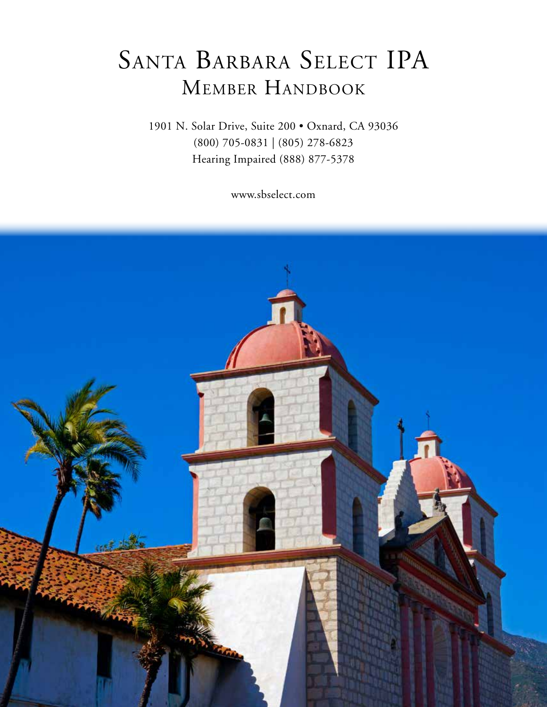# SANTA BARBARA SELECT IPA Member Handbook

1901 N. Solar Drive, Suite 200 • Oxnard, CA 93036 (800) 705-0831 | (805) 278-6823 Hearing Impaired (888) 877-5378

www.sbselect.com

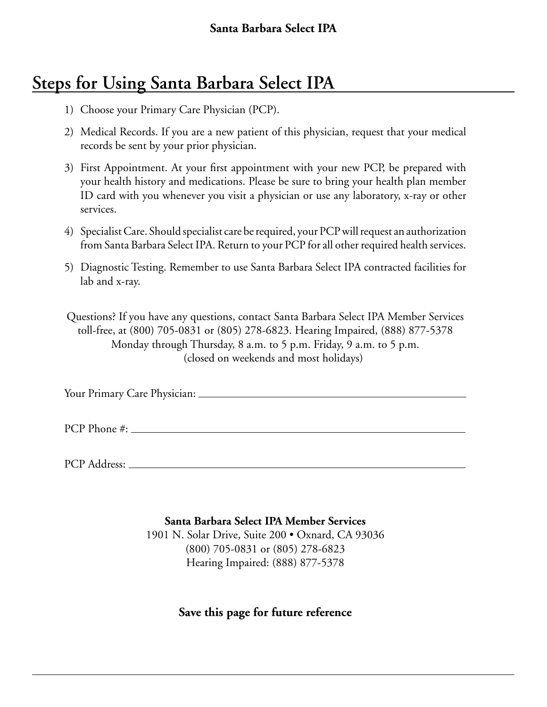# **Steps for Using Santa Barbara Select IPA**

- 1) Choose your Primary Care Physician (PCP).
- 2) Medical Records. If you are a new patient of this physician, request that your medical records be sent by your prior physician.
- 3) First Appointment. At your first appointment with your new PCP, be prepared with your health history and medications. Please be sure to bring your health plan member ID card with you whenever you visit a physician or use any laboratory, x-ray or other services.
- 4) Specialist Care. Should specialist care be required, your PCP will request an authorization from Santa Barbara Select IPA. Return to your PCP for all other required health services.
- 5) Diagnostic Testing. Remember to use Santa Barbara Select IPA contracted facilities for lab and x-ray.

Questions? If you have any questions, contact Santa Barbara Select IPA Member Services toll-free, at (800) 705-0831 or (805) 278-6823. Hearing Impaired, (888) 877-5378 Monday through Thursday, 8 a.m. to 5 p.m. Friday, 9 a.m. to 5 p.m. (closed on weekends and most holidays)

Your Primary Care Physician:

PCP Phone #:

PCP Address:

**Santa Barbara Select IPA Member Services**

1901 N. Solar Drive, Suite 200 • Oxnard, CA 93036 (800) 705-0831 or (805) 278-6823 Hearing Impaired: (888) 877-5378

# **Save this page for future reference**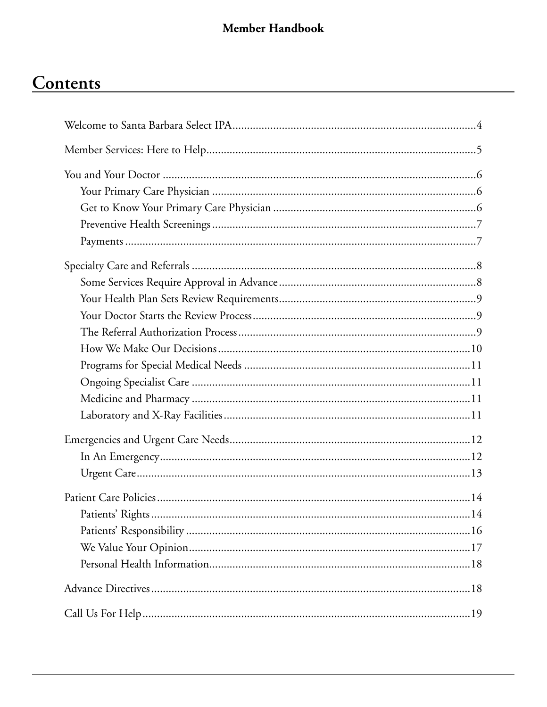# Contents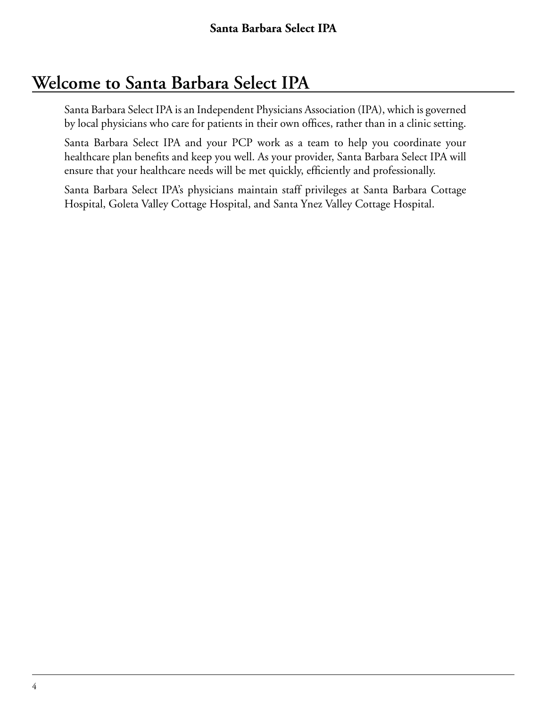# **Welcome to Santa Barbara Select IPA**

Santa Barbara Select IPA is an Independent Physicians Association (IPA), which is governed by local physicians who care for patients in their own offices, rather than in a clinic setting.

Santa Barbara Select IPA and your PCP work as a team to help you coordinate your healthcare plan benefits and keep you well. As your provider, Santa Barbara Select IPA will ensure that your healthcare needs will be met quickly, efficiently and professionally.

Santa Barbara Select IPA's physicians maintain staff privileges at Santa Barbara Cottage Hospital, Goleta Valley Cottage Hospital, and Santa Ynez Valley Cottage Hospital.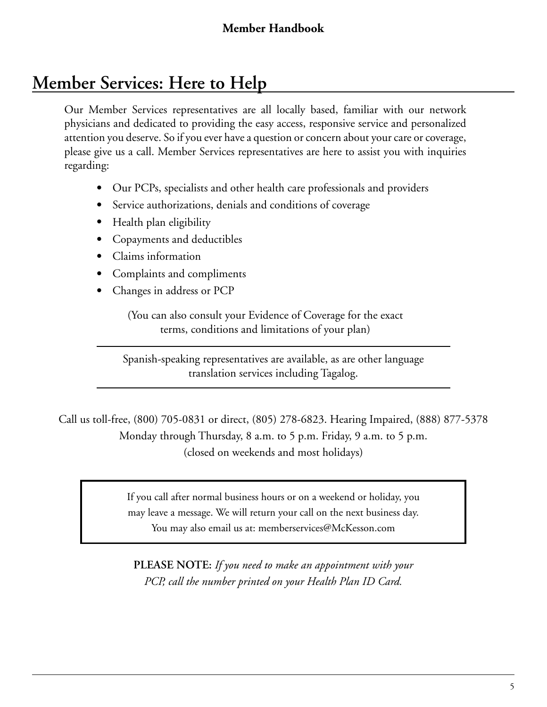# **Member Services: Here to Help**

Our Member Services representatives are all locally based, familiar with our network physicians and dedicated to providing the easy access, responsive service and personalized attention you deserve. So if you ever have a question or concern about your care or coverage, please give us a call. Member Services representatives are here to assist you with inquiries regarding:

- Our PCPs, specialists and other health care professionals and providers
- Service authorizations, denials and conditions of coverage
- Health plan eligibility
- Copayments and deductibles
- Claims information
- Complaints and compliments
- Changes in address or PCP

(You can also consult your Evidence of Coverage for the exact terms, conditions and limitations of your plan)

Spanish-speaking representatives are available, as are other language translation services including Tagalog.

Call us toll-free, (800) 705-0831 or direct, (805) 278-6823. Hearing Impaired, (888) 877-5378 Monday through Thursday, 8 a.m. to 5 p.m. Friday, 9 a.m. to 5 p.m. (closed on weekends and most holidays)

> If you call after normal business hours or on a weekend or holiday, you may leave a message. We will return your call on the next business day. You may also email us at: memberservices@McKesson.com

**PLEASE NOTE:** *If you need to make an appointment with your PCP, call the number printed on your Health Plan ID Card.*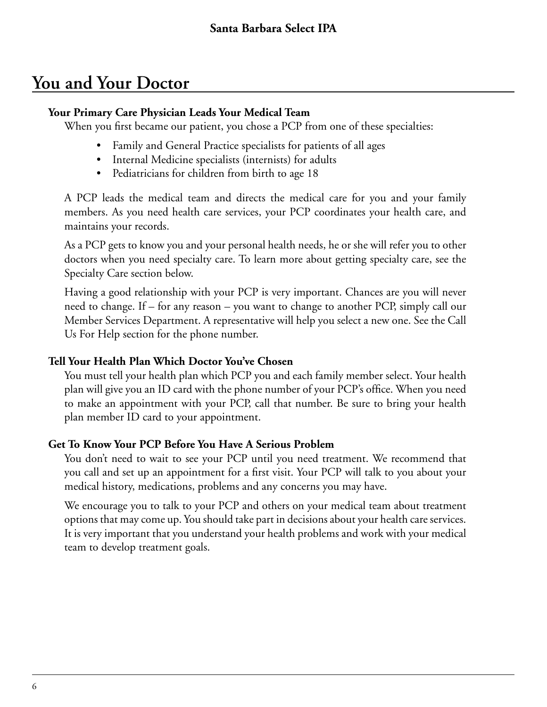# **You and Your Doctor**

#### **Your Primary Care Physician Leads Your Medical Team**

When you first became our patient, you chose a PCP from one of these specialties:

- Family and General Practice specialists for patients of all ages
- Internal Medicine specialists (internists) for adults
- Pediatricians for children from birth to age 18

A PCP leads the medical team and directs the medical care for you and your family members. As you need health care services, your PCP coordinates your health care, and maintains your records.

As a PCP gets to know you and your personal health needs, he or she will refer you to other doctors when you need specialty care. To learn more about getting specialty care, see the Specialty Care section below.

Having a good relationship with your PCP is very important. Chances are you will never need to change. If – for any reason – you want to change to another PCP, simply call our Member Services Department. A representative will help you select a new one. See the Call Us For Help section for the phone number.

#### **Tell Your Health Plan Which Doctor You've Chosen**

You must tell your health plan which PCP you and each family member select. Your health plan will give you an ID card with the phone number of your PCP's office. When you need to make an appointment with your PCP, call that number. Be sure to bring your health plan member ID card to your appointment.

## **Get To Know Your PCP Before You Have A Serious Problem**

You don't need to wait to see your PCP until you need treatment. We recommend that you call and set up an appointment for a first visit. Your PCP will talk to you about your medical history, medications, problems and any concerns you may have.

We encourage you to talk to your PCP and others on your medical team about treatment options that may come up. You should take part in decisions about your health care services. It is very important that you understand your health problems and work with your medical team to develop treatment goals.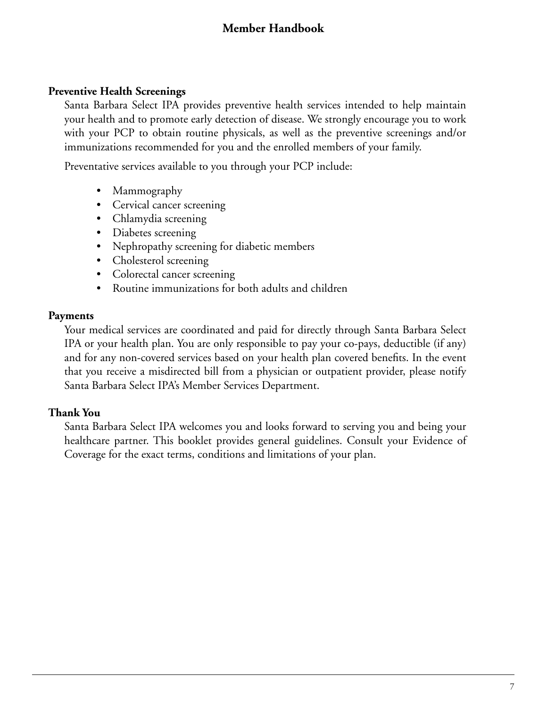#### **Preventive Health Screenings**

Santa Barbara Select IPA provides preventive health services intended to help maintain your health and to promote early detection of disease. We strongly encourage you to work with your PCP to obtain routine physicals, as well as the preventive screenings and/or immunizations recommended for you and the enrolled members of your family.

Preventative services available to you through your PCP include:

- Mammography
- Cervical cancer screening
- Chlamydia screening
- Diabetes screening
- Nephropathy screening for diabetic members
- Cholesterol screening
- Colorectal cancer screening
- Routine immunizations for both adults and children

#### **Payments**

Your medical services are coordinated and paid for directly through Santa Barbara Select IPA or your health plan. You are only responsible to pay your co-pays, deductible (if any) and for any non-covered services based on your health plan covered benefits. In the event that you receive a misdirected bill from a physician or outpatient provider, please notify Santa Barbara Select IPA's Member Services Department.

## **Thank You**

Santa Barbara Select IPA welcomes you and looks forward to serving you and being your healthcare partner. This booklet provides general guidelines. Consult your Evidence of Coverage for the exact terms, conditions and limitations of your plan.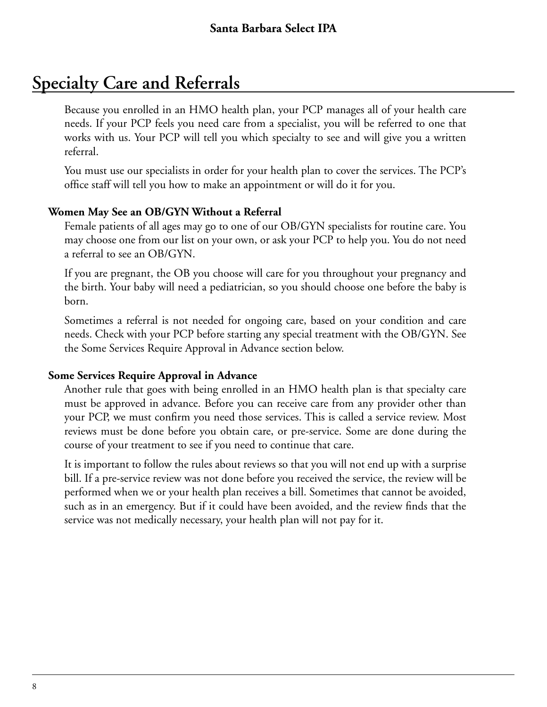# **Specialty Care and Referrals**

Because you enrolled in an HMO health plan, your PCP manages all of your health care needs. If your PCP feels you need care from a specialist, you will be referred to one that works with us. Your PCP will tell you which specialty to see and will give you a written referral.

You must use our specialists in order for your health plan to cover the services. The PCP's office staff will tell you how to make an appointment or will do it for you.

#### **Women May See an OB/GYN Without a Referral**

Female patients of all ages may go to one of our OB/GYN specialists for routine care. You may choose one from our list on your own, or ask your PCP to help you. You do not need a referral to see an OB/GYN.

If you are pregnant, the OB you choose will care for you throughout your pregnancy and the birth. Your baby will need a pediatrician, so you should choose one before the baby is born.

Sometimes a referral is not needed for ongoing care, based on your condition and care needs. Check with your PCP before starting any special treatment with the OB/GYN. See the Some Services Require Approval in Advance section below.

#### **Some Services Require Approval in Advance**

Another rule that goes with being enrolled in an HMO health plan is that specialty care must be approved in advance. Before you can receive care from any provider other than your PCP, we must confirm you need those services. This is called a service review. Most reviews must be done before you obtain care, or pre-service. Some are done during the course of your treatment to see if you need to continue that care.

It is important to follow the rules about reviews so that you will not end up with a surprise bill. If a pre-service review was not done before you received the service, the review will be performed when we or your health plan receives a bill. Sometimes that cannot be avoided, such as in an emergency. But if it could have been avoided, and the review finds that the service was not medically necessary, your health plan will not pay for it.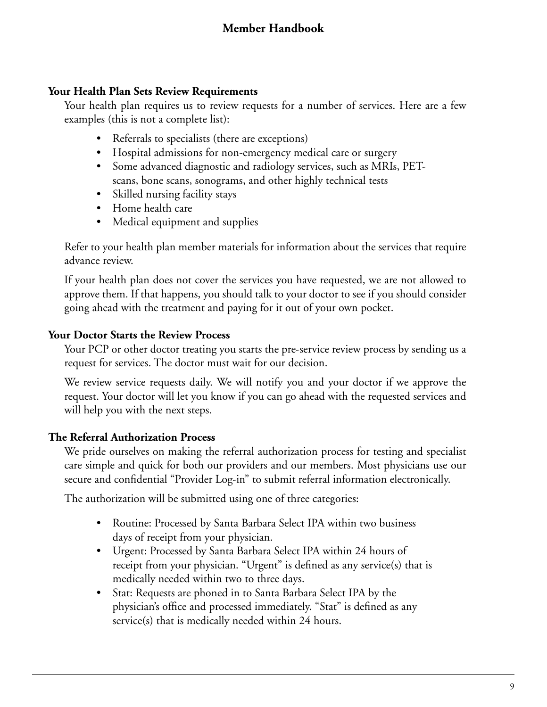#### **Your Health Plan Sets Review Requirements**

Your health plan requires us to review requests for a number of services. Here are a few examples (this is not a complete list):

- Referrals to specialists (there are exceptions)
- Hospital admissions for non-emergency medical care or surgery
- Some advanced diagnostic and radiology services, such as MRIs, PETscans, bone scans, sonograms, and other highly technical tests
- Skilled nursing facility stays
- Home health care
- Medical equipment and supplies

Refer to your health plan member materials for information about the services that require advance review.

If your health plan does not cover the services you have requested, we are not allowed to approve them. If that happens, you should talk to your doctor to see if you should consider going ahead with the treatment and paying for it out of your own pocket.

#### **Your Doctor Starts the Review Process**

Your PCP or other doctor treating you starts the pre-service review process by sending us a request for services. The doctor must wait for our decision.

We review service requests daily. We will notify you and your doctor if we approve the request. Your doctor will let you know if you can go ahead with the requested services and will help you with the next steps.

#### **The Referral Authorization Process**

We pride ourselves on making the referral authorization process for testing and specialist care simple and quick for both our providers and our members. Most physicians use our secure and confidential "Provider Log-in" to submit referral information electronically.

The authorization will be submitted using one of three categories:

- Routine: Processed by Santa Barbara Select IPA within two business days of receipt from your physician.
- Urgent: Processed by Santa Barbara Select IPA within 24 hours of receipt from your physician. "Urgent" is defined as any service(s) that is medically needed within two to three days.
- Stat: Requests are phoned in to Santa Barbara Select IPA by the physician's office and processed immediately. "Stat" is defined as any service(s) that is medically needed within 24 hours.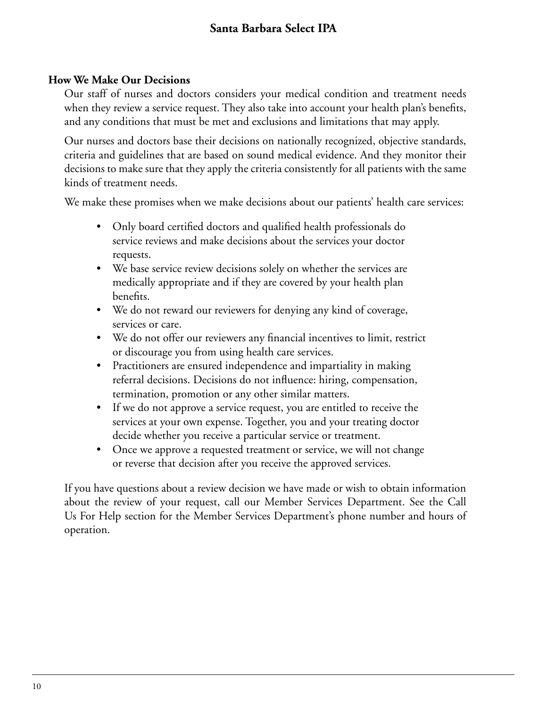# **Santa Barbara Select IPA**

#### **How We Make Our Decisions**

Our staff of nurses and doctors considers your medical condition and treatment needs when they review a service request. They also take into account your health plan's benefits, and any conditions that must be met and exclusions and limitations that may apply.

Our nurses and doctors base their decisions on nationally recognized, objective standards, criteria and guidelines that are based on sound medical evidence. And they monitor their decisions to make sure that they apply the criteria consistently for all patients with the same kinds of treatment needs.

We make these promises when we make decisions about our patients' health care services:

- Only board certified doctors and qualified health professionals do service reviews and make decisions about the services your doctor requests.
- We base service review decisions solely on whether the services are medically appropriate and if they are covered by your health plan benefits.
- We do not reward our reviewers for denying any kind of coverage, services or care.
- We do not offer our reviewers any financial incentives to limit, restrict or discourage you from using health care services.
- Practitioners are ensured independence and impartiality in making referral decisions. Decisions do not influence: hiring, compensation, termination, promotion or any other similar matters.
- If we do not approve a service request, you are entitled to receive the services at your own expense. Together, you and your treating doctor decide whether you receive a particular service or treatment.
- Once we approve a requested treatment or service, we will not change or reverse that decision after you receive the approved services.

If you have questions about a review decision we have made or wish to obtain information about the review of your request, call our Member Services Department. See the Call Us For Help section for the Member Services Department's phone number and hours of operation.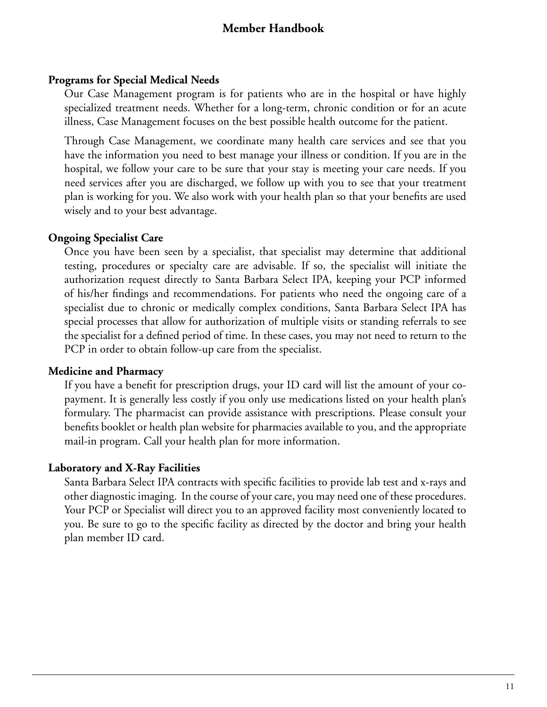#### **Programs for Special Medical Needs**

Our Case Management program is for patients who are in the hospital or have highly specialized treatment needs. Whether for a long-term, chronic condition or for an acute illness, Case Management focuses on the best possible health outcome for the patient.

Through Case Management, we coordinate many health care services and see that you have the information you need to best manage your illness or condition. If you are in the hospital, we follow your care to be sure that your stay is meeting your care needs. If you need services after you are discharged, we follow up with you to see that your treatment plan is working for you. We also work with your health plan so that your benefits are used wisely and to your best advantage.

#### **Ongoing Specialist Care**

Once you have been seen by a specialist, that specialist may determine that additional testing, procedures or specialty care are advisable. If so, the specialist will initiate the authorization request directly to Santa Barbara Select IPA, keeping your PCP informed of his/her findings and recommendations. For patients who need the ongoing care of a specialist due to chronic or medically complex conditions, Santa Barbara Select IPA has special processes that allow for authorization of multiple visits or standing referrals to see the specialist for a defined period of time. In these cases, you may not need to return to the PCP in order to obtain follow-up care from the specialist.

#### **Medicine and Pharmacy**

If you have a benefit for prescription drugs, your ID card will list the amount of your copayment. It is generally less costly if you only use medications listed on your health plan's formulary. The pharmacist can provide assistance with prescriptions. Please consult your benefits booklet or health plan website for pharmacies available to you, and the appropriate mail-in program. Call your health plan for more information.

#### **Laboratory and X-Ray Facilities**

Santa Barbara Select IPA contracts with specific facilities to provide lab test and x-rays and other diagnostic imaging. In the course of your care, you may need one of these procedures. Your PCP or Specialist will direct you to an approved facility most conveniently located to you. Be sure to go to the specific facility as directed by the doctor and bring your health plan member ID card.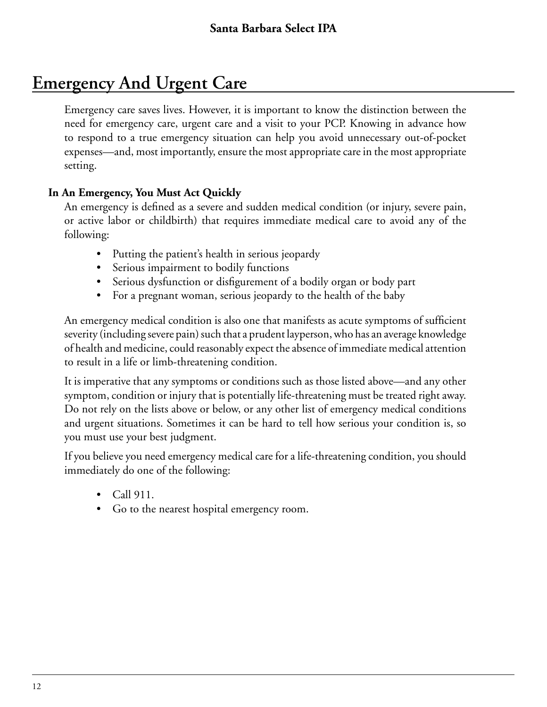# **Emergency And Urgent Care**

Emergency care saves lives. However, it is important to know the distinction between the need for emergency care, urgent care and a visit to your PCP. Knowing in advance how to respond to a true emergency situation can help you avoid unnecessary out-of-pocket expenses—and, most importantly, ensure the most appropriate care in the most appropriate setting.

## **In An Emergency, You Must Act Quickly**

An emergency is defined as a severe and sudden medical condition (or injury, severe pain, or active labor or childbirth) that requires immediate medical care to avoid any of the following:

- Putting the patient's health in serious jeopardy
- Serious impairment to bodily functions
- Serious dysfunction or disfigurement of a bodily organ or body part
- For a pregnant woman, serious jeopardy to the health of the baby

An emergency medical condition is also one that manifests as acute symptoms of sufficient severity (including severe pain) such that a prudent layperson, who has an average knowledge of health and medicine, could reasonably expect the absence of immediate medical attention to result in a life or limb-threatening condition.

It is imperative that any symptoms or conditions such as those listed above—and any other symptom, condition or injury that is potentially life-threatening must be treated right away. Do not rely on the lists above or below, or any other list of emergency medical conditions and urgent situations. Sometimes it can be hard to tell how serious your condition is, so you must use your best judgment.

If you believe you need emergency medical care for a life-threatening condition, you should immediately do one of the following:

- Call 911.
- Go to the nearest hospital emergency room.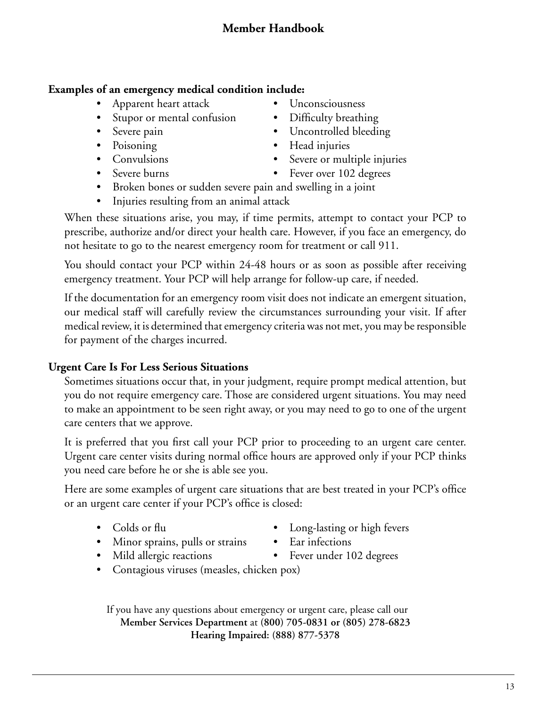### **Examples of an emergency medical condition include:**

- Apparent heart attack Unconsciousness
- Stupor or mental confusion Difficulty breathing
- 
- 
- 
- 
- 
- 
- Severe pain Uncontrolled bleeding
- Poisoning Head injuries
- Convulsions Severe or multiple injuries
- Severe burns Fever over 102 degrees
- Broken bones or sudden severe pain and swelling in a joint
- Injuries resulting from an animal attack

When these situations arise, you may, if time permits, attempt to contact your PCP to prescribe, authorize and/or direct your health care. However, if you face an emergency, do not hesitate to go to the nearest emergency room for treatment or call 911.

You should contact your PCP within 24-48 hours or as soon as possible after receiving emergency treatment. Your PCP will help arrange for follow-up care, if needed.

If the documentation for an emergency room visit does not indicate an emergent situation, our medical staff will carefully review the circumstances surrounding your visit. If after medical review, it is determined that emergency criteria was not met, you may be responsible for payment of the charges incurred.

## **Urgent Care Is For Less Serious Situations**

Sometimes situations occur that, in your judgment, require prompt medical attention, but you do not require emergency care. Those are considered urgent situations. You may need to make an appointment to be seen right away, or you may need to go to one of the urgent care centers that we approve.

It is preferred that you first call your PCP prior to proceeding to an urgent care center. Urgent care center visits during normal office hours are approved only if your PCP thinks you need care before he or she is able see you.

Here are some examples of urgent care situations that are best treated in your PCP's office or an urgent care center if your PCP's office is closed:

- 
- Colds or flu **•** Long-lasting or high fevers
- Minor sprains, pulls or strains Ear infections
	-
- Mild allergic reactions Fever under 102 degrees
- Contagious viruses (measles, chicken pox)

If you have any questions about emergency or urgent care, please call our **Member Services Department** at **(800) 705-0831 or (805) 278-6823 Hearing Impaired: (888) 877-5378**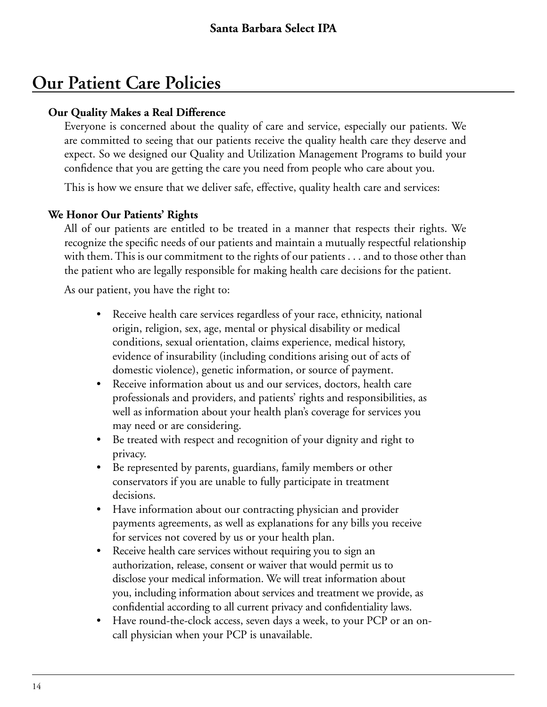# **Our Patient Care Policies**

### **Our Quality Makes a Real Difference**

Everyone is concerned about the quality of care and service, especially our patients. We are committed to seeing that our patients receive the quality health care they deserve and expect. So we designed our Quality and Utilization Management Programs to build your confidence that you are getting the care you need from people who care about you.

This is how we ensure that we deliver safe, effective, quality health care and services:

## **We Honor Our Patients' Rights**

All of our patients are entitled to be treated in a manner that respects their rights. We recognize the specific needs of our patients and maintain a mutually respectful relationship with them. This is our commitment to the rights of our patients . . . and to those other than the patient who are legally responsible for making health care decisions for the patient.

As our patient, you have the right to:

- Receive health care services regardless of your race, ethnicity, national origin, religion, sex, age, mental or physical disability or medical conditions, sexual orientation, claims experience, medical history, evidence of insurability (including conditions arising out of acts of domestic violence), genetic information, or source of payment.
- Receive information about us and our services, doctors, health care professionals and providers, and patients' rights and responsibilities, as well as information about your health plan's coverage for services you may need or are considering.
- Be treated with respect and recognition of your dignity and right to privacy.
- Be represented by parents, guardians, family members or other conservators if you are unable to fully participate in treatment decisions.
- Have information about our contracting physician and provider payments agreements, as well as explanations for any bills you receive for services not covered by us or your health plan.
- Receive health care services without requiring you to sign an authorization, release, consent or waiver that would permit us to disclose your medical information. We will treat information about you, including information about services and treatment we provide, as confidential according to all current privacy and confidentiality laws.
- Have round-the-clock access, seven days a week, to your PCP or an oncall physician when your PCP is unavailable.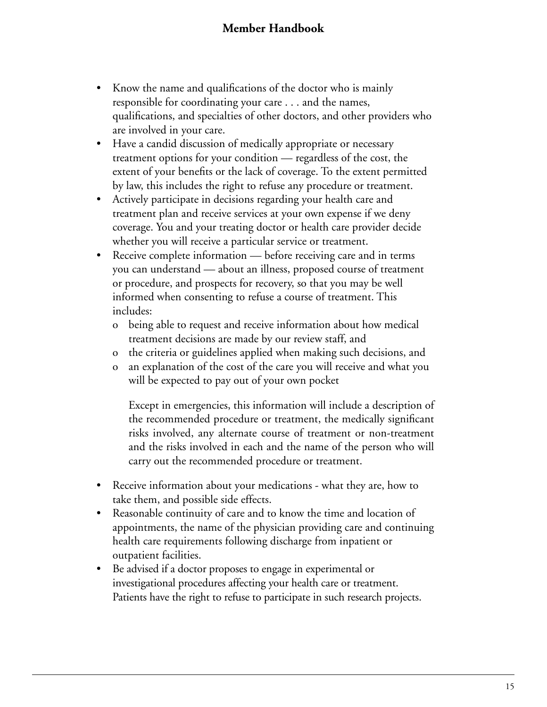- Know the name and qualifications of the doctor who is mainly responsible for coordinating your care . . . and the names, qualifications, and specialties of other doctors, and other providers who are involved in your care.
- Have a candid discussion of medically appropriate or necessary treatment options for your condition — regardless of the cost, the extent of your benefits or the lack of coverage. To the extent permitted by law, this includes the right to refuse any procedure or treatment.
- Actively participate in decisions regarding your health care and treatment plan and receive services at your own expense if we deny coverage. You and your treating doctor or health care provider decide whether you will receive a particular service or treatment.
- Receive complete information before receiving care and in terms you can understand — about an illness, proposed course of treatment or procedure, and prospects for recovery, so that you may be well informed when consenting to refuse a course of treatment. This includes:
	- o being able to request and receive information about how medical treatment decisions are made by our review staff, and
	- o the criteria or guidelines applied when making such decisions, and
	- o an explanation of the cost of the care you will receive and what you will be expected to pay out of your own pocket

Except in emergencies, this information will include a description of the recommended procedure or treatment, the medically significant risks involved, any alternate course of treatment or non-treatment and the risks involved in each and the name of the person who will carry out the recommended procedure or treatment.

- Receive information about your medications what they are, how to take them, and possible side effects.
- Reasonable continuity of care and to know the time and location of appointments, the name of the physician providing care and continuing health care requirements following discharge from inpatient or outpatient facilities.
- Be advised if a doctor proposes to engage in experimental or investigational procedures affecting your health care or treatment. Patients have the right to refuse to participate in such research projects.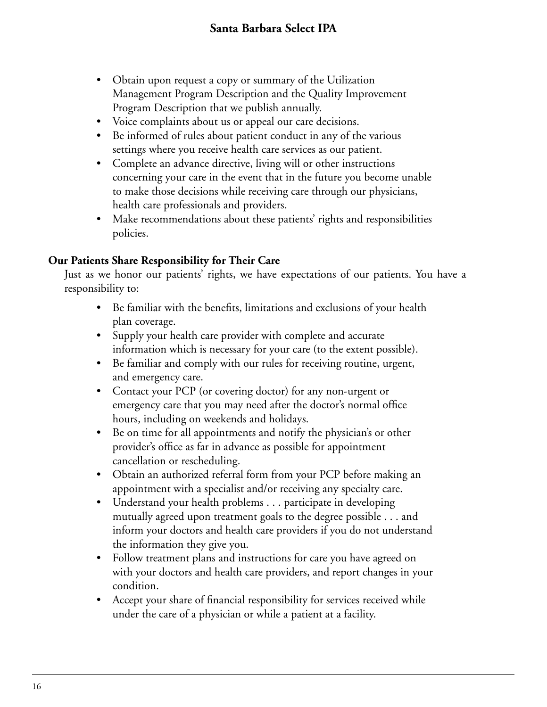- Obtain upon request a copy or summary of the Utilization Management Program Description and the Quality Improvement Program Description that we publish annually.
- Voice complaints about us or appeal our care decisions.
- Be informed of rules about patient conduct in any of the various settings where you receive health care services as our patient.
- Complete an advance directive, living will or other instructions concerning your care in the event that in the future you become unable to make those decisions while receiving care through our physicians, health care professionals and providers.
- Make recommendations about these patients' rights and responsibilities policies.

### **Our Patients Share Responsibility for Their Care**

Just as we honor our patients' rights, we have expectations of our patients. You have a responsibility to:

- Be familiar with the benefits, limitations and exclusions of your health plan coverage.
- Supply your health care provider with complete and accurate information which is necessary for your care (to the extent possible).
- Be familiar and comply with our rules for receiving routine, urgent, and emergency care.
- Contact your PCP (or covering doctor) for any non-urgent or emergency care that you may need after the doctor's normal office hours, including on weekends and holidays.
- Be on time for all appointments and notify the physician's or other provider's office as far in advance as possible for appointment cancellation or rescheduling.
- Obtain an authorized referral form from your PCP before making an appointment with a specialist and/or receiving any specialty care.
- Understand your health problems . . . participate in developing mutually agreed upon treatment goals to the degree possible . . . and inform your doctors and health care providers if you do not understand the information they give you.
- Follow treatment plans and instructions for care you have agreed on with your doctors and health care providers, and report changes in your condition.
- Accept your share of financial responsibility for services received while under the care of a physician or while a patient at a facility.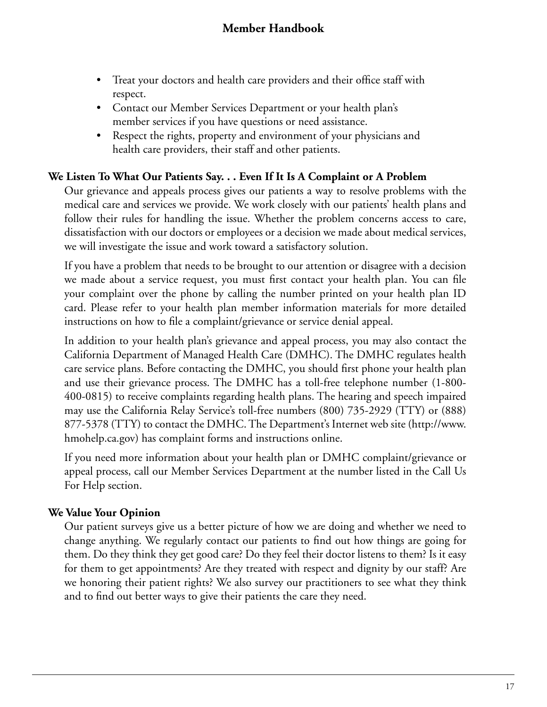- Treat your doctors and health care providers and their office staff with respect.
- Contact our Member Services Department or your health plan's member services if you have questions or need assistance.
- Respect the rights, property and environment of your physicians and health care providers, their staff and other patients.

### **We Listen To What Our Patients Say. . . Even If It Is A Complaint or A Problem**

Our grievance and appeals process gives our patients a way to resolve problems with the medical care and services we provide. We work closely with our patients' health plans and follow their rules for handling the issue. Whether the problem concerns access to care, dissatisfaction with our doctors or employees or a decision we made about medical services, we will investigate the issue and work toward a satisfactory solution.

If you have a problem that needs to be brought to our attention or disagree with a decision we made about a service request, you must first contact your health plan. You can file your complaint over the phone by calling the number printed on your health plan ID card. Please refer to your health plan member information materials for more detailed instructions on how to file a complaint/grievance or service denial appeal.

In addition to your health plan's grievance and appeal process, you may also contact the California Department of Managed Health Care (DMHC). The DMHC regulates health care service plans. Before contacting the DMHC, you should first phone your health plan and use their grievance process. The DMHC has a toll-free telephone number (1-800- 400-0815) to receive complaints regarding health plans. The hearing and speech impaired may use the California Relay Service's toll-free numbers (800) 735-2929 (TTY) or (888) 877-5378 (TTY) to contact the DMHC. The Department's Internet web site (http://www. hmohelp.ca.gov) has complaint forms and instructions online.

If you need more information about your health plan or DMHC complaint/grievance or appeal process, call our Member Services Department at the number listed in the Call Us For Help section.

## **We Value Your Opinion**

Our patient surveys give us a better picture of how we are doing and whether we need to change anything. We regularly contact our patients to find out how things are going for them. Do they think they get good care? Do they feel their doctor listens to them? Is it easy for them to get appointments? Are they treated with respect and dignity by our staff? Are we honoring their patient rights? We also survey our practitioners to see what they think and to find out better ways to give their patients the care they need.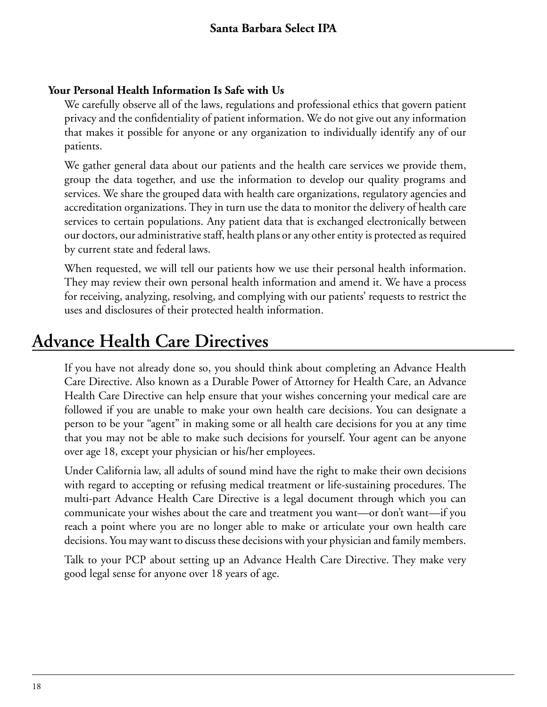### **Your Personal Health Information Is Safe with Us**

We carefully observe all of the laws, regulations and professional ethics that govern patient privacy and the confidentiality of patient information. We do not give out any information that makes it possible for anyone or any organization to individually identify any of our patients.

We gather general data about our patients and the health care services we provide them, group the data together, and use the information to develop our quality programs and services. We share the grouped data with health care organizations, regulatory agencies and accreditation organizations. They in turn use the data to monitor the delivery of health care services to certain populations. Any patient data that is exchanged electronically between our doctors, our administrative staff, health plans or any other entity is protected as required by current state and federal laws.

When requested, we will tell our patients how we use their personal health information. They may review their own personal health information and amend it. We have a process for receiving, analyzing, resolving, and complying with our patients' requests to restrict the uses and disclosures of their protected health information.

# **Advance Health Care Directives**

If you have not already done so, you should think about completing an Advance Health Care Directive. Also known as a Durable Power of Attorney for Health Care, an Advance Health Care Directive can help ensure that your wishes concerning your medical care are followed if you are unable to make your own health care decisions. You can designate a person to be your "agent" in making some or all health care decisions for you at any time that you may not be able to make such decisions for yourself. Your agent can be anyone over age 18, except your physician or his/her employees.

Under California law, all adults of sound mind have the right to make their own decisions with regard to accepting or refusing medical treatment or life-sustaining procedures. The multi-part Advance Health Care Directive is a legal document through which you can communicate your wishes about the care and treatment you want—or don't want—if you reach a point where you are no longer able to make or articulate your own health care decisions. You may want to discuss these decisions with your physician and family members.

Talk to your PCP about setting up an Advance Health Care Directive. They make very good legal sense for anyone over 18 years of age.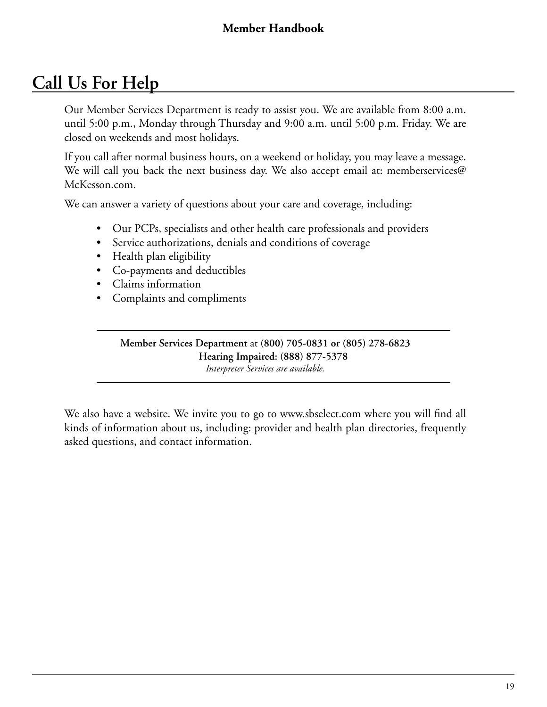# **Call Us For Help**

Our Member Services Department is ready to assist you. We are available from 8:00 a.m. until 5:00 p.m., Monday through Thursday and 9:00 a.m. until 5:00 p.m. Friday. We are closed on weekends and most holidays.

If you call after normal business hours, on a weekend or holiday, you may leave a message. We will call you back the next business day. We also accept email at: memberservices@ McKesson.com.

We can answer a variety of questions about your care and coverage, including:

- Our PCPs, specialists and other health care professionals and providers
- Service authorizations, denials and conditions of coverage
- Health plan eligibility
- Co-payments and deductibles
- Claims information
- Complaints and compliments

**Member Services Department** at **(800) 705-0831 or (805) 278-6823 Hearing Impaired: (888) 877-5378** *Interpreter Services are available.*

We also have a website. We invite you to go to www.sbselect.com where you will find all kinds of information about us, including: provider and health plan directories, frequently asked questions, and contact information.